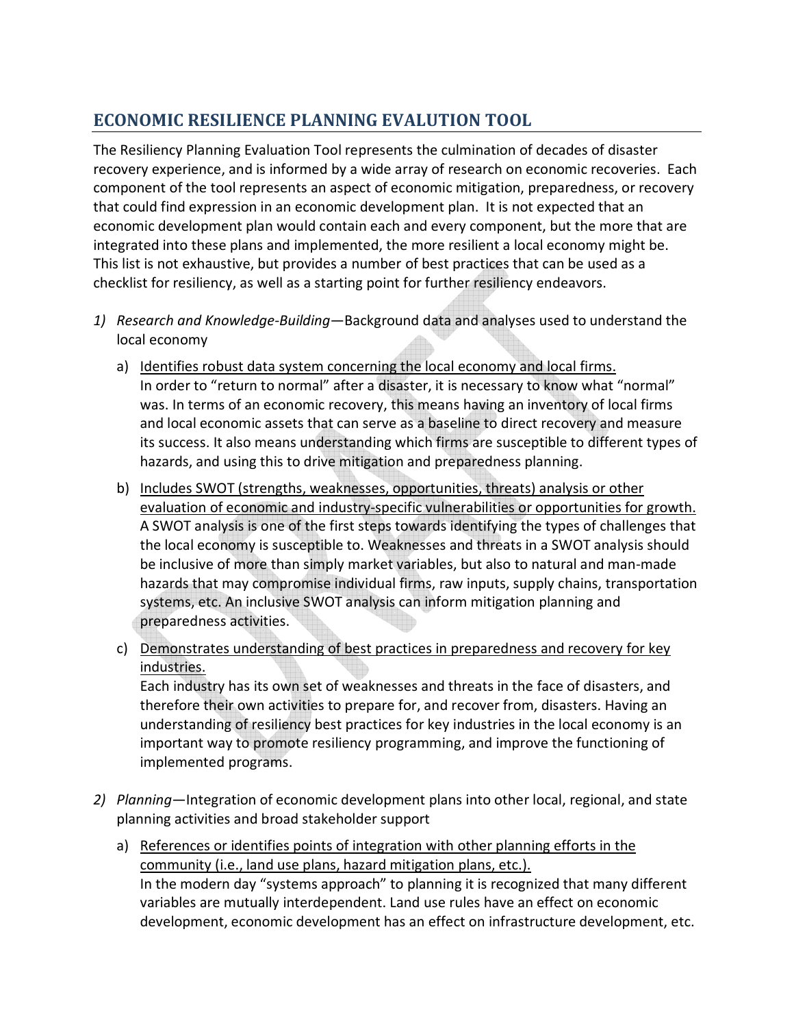## **ECONOMIC RESILIENCE PLANNING EVALUTION TOOL**

The Resiliency Planning Evaluation Tool represents the culmination of decades of disaster recovery experience, and is informed by a wide array of research on economic recoveries. Each component of the tool represents an aspect of economic mitigation, preparedness, or recovery that could find expression in an economic development plan. It is not expected that an economic development plan would contain each and every component, but the more that are integrated into these plans and implemented, the more resilient a local economy might be. This list is not exhaustive, but provides a number of best practices that can be used as a checklist for resiliency, as well as a starting point for further resiliency endeavors.

- *1) Research and Knowledge-Building*—Background data and analyses used to understand the local economy
	- a) Identifies robust data system concerning the local economy and local firms. In order to "return to normal" after a disaster, it is necessary to know what "normal" was. In terms of an economic recovery, this means having an inventory of local firms and local economic assets that can serve as a baseline to direct recovery and measure its success. It also means understanding which firms are susceptible to different types of hazards, and using this to drive mitigation and preparedness planning.
	- b) Includes SWOT (strengths, weaknesses, opportunities, threats) analysis or other evaluation of economic and industry-specific vulnerabilities or opportunities for growth. A SWOT analysis is one of the first steps towards identifying the types of challenges that the local economy is susceptible to. Weaknesses and threats in a SWOT analysis should be inclusive of more than simply market variables, but also to natural and man-made hazards that may compromise individual firms, raw inputs, supply chains, transportation systems, etc. An inclusive SWOT analysis can inform mitigation planning and preparedness activities.
	- c) Demonstrates understanding of best practices in preparedness and recovery for key industries.

Each industry has its own set of weaknesses and threats in the face of disasters, and therefore their own activities to prepare for, and recover from, disasters. Having an understanding of resiliency best practices for key industries in the local economy is an important way to promote resiliency programming, and improve the functioning of implemented programs.

- *2) Planning*—Integration of economic development plans into other local, regional, and state planning activities and broad stakeholder support
	- a) References or identifies points of integration with other planning efforts in the community (i.e., land use plans, hazard mitigation plans, etc.). In the modern day "systems approach" to planning it is recognized that many different variables are mutually interdependent. Land use rules have an effect on economic development, economic development has an effect on infrastructure development, etc.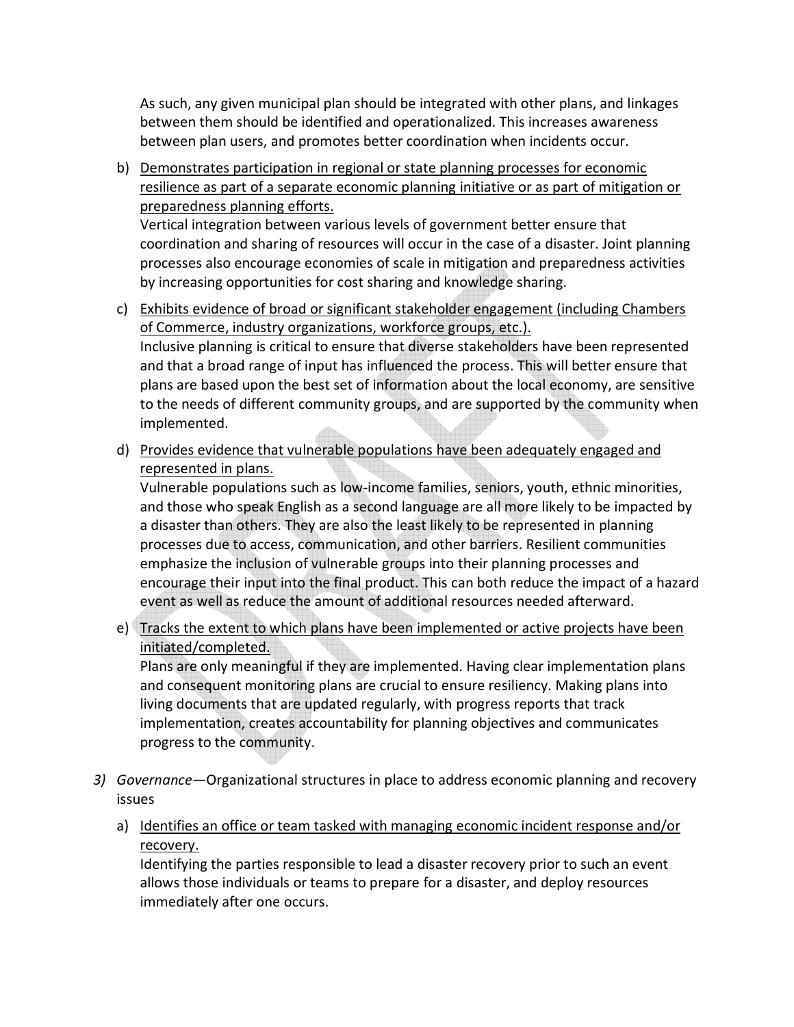As such, any given municipal plan should be integrated with other plans, and linkages between them should be identified and operationalized. This increases awareness between plan users, and promotes better coordination when incidents occur.

b) Demonstrates participation in regional or state planning processes for economic resilience as part of a separate economic planning initiative or as part of mitigation or preparedness planning efforts.

Vertical integration between various levels of government better ensure that coordination and sharing of resources will occur in the case of a disaster. Joint planning processes also encourage economies of scale in mitigation and preparedness activities by increasing opportunities for cost sharing and knowledge sharing.

- c) Exhibits evidence of broad or significant stakeholder engagement (including Chambers of Commerce, industry organizations, workforce groups, etc.). Inclusive planning is critical to ensure that diverse stakeholders have been represented and that a broad range of input has influenced the process. This will better ensure that plans are based upon the best set of information about the local economy, are sensitive to the needs of different community groups, and are supported by the community when implemented.
- d) Provides evidence that vulnerable populations have been adequately engaged and represented in plans.

Vulnerable populations such as low-income families, seniors, youth, ethnic minorities, and those who speak English as a second language are all more likely to be impacted by a disaster than others. They are also the least likely to be represented in planning processes due to access, communication, and other barriers. Resilient communities emphasize the inclusion of vulnerable groups into their planning processes and encourage their input into the final product. This can both reduce the impact of a hazard event as well as reduce the amount of additional resources needed afterward.

e) Tracks the extent to which plans have been implemented or active projects have been initiated/completed.

Plans are only meaningful if they are implemented. Having clear implementation plans and consequent monitoring plans are crucial to ensure resiliency. Making plans into living documents that are updated regularly, with progress reports that track implementation, creates accountability for planning objectives and communicates progress to the community.

- *3) Governance*—Organizational structures in place to address economic planning and recovery issues
	- a) Identifies an office or team tasked with managing economic incident response and/or recovery.

Identifying the parties responsible to lead a disaster recovery prior to such an event allows those individuals or teams to prepare for a disaster, and deploy resources immediately after one occurs.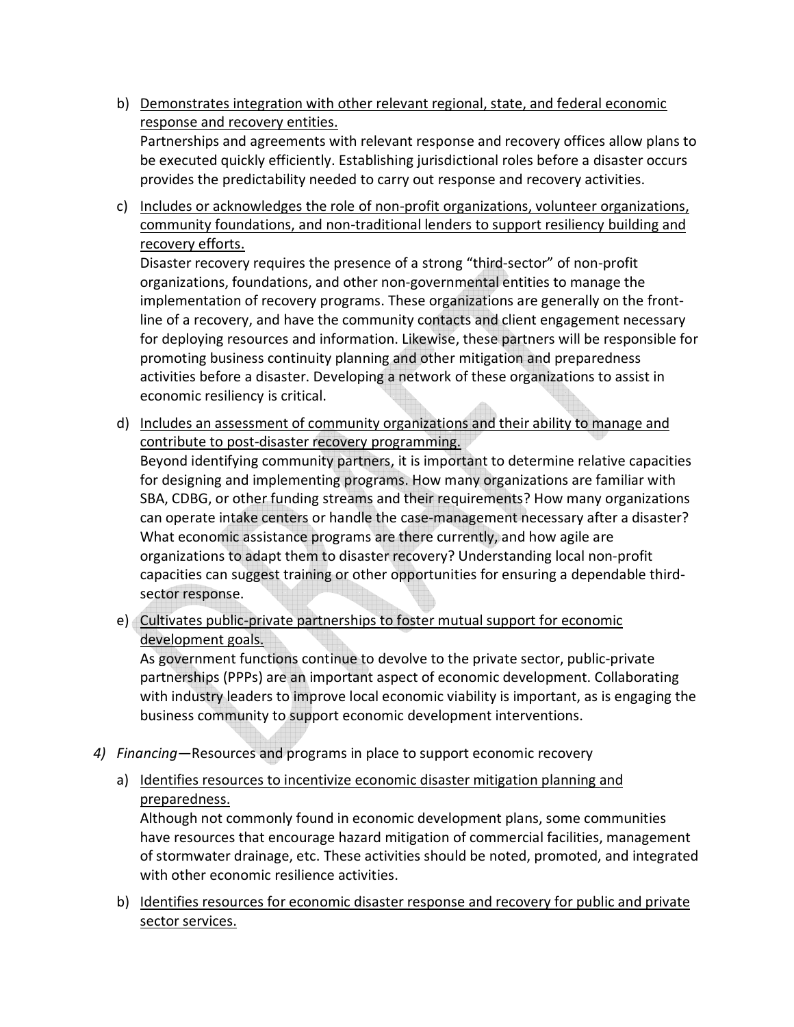- b) Demonstrates integration with other relevant regional, state, and federal economic response and recovery entities. Partnerships and agreements with relevant response and recovery offices allow plans to be executed quickly efficiently. Establishing jurisdictional roles before a disaster occurs provides the predictability needed to carry out response and recovery activities.
- c) Includes or acknowledges the role of non-profit organizations, volunteer organizations, community foundations, and non-traditional lenders to support resiliency building and recovery efforts.

Disaster recovery requires the presence of a strong "third-sector" of non-profit organizations, foundations, and other non-governmental entities to manage the implementation of recovery programs. These organizations are generally on the frontline of a recovery, and have the community contacts and client engagement necessary for deploying resources and information. Likewise, these partners will be responsible for promoting business continuity planning and other mitigation and preparedness activities before a disaster. Developing a network of these organizations to assist in economic resiliency is critical.

- d) Includes an assessment of community organizations and their ability to manage and contribute to post-disaster recovery programming. Beyond identifying community partners, it is important to determine relative capacities for designing and implementing programs. How many organizations are familiar with SBA, CDBG, or other funding streams and their requirements? How many organizations can operate intake centers or handle the case-management necessary after a disaster? What economic assistance programs are there currently, and how agile are organizations to adapt them to disaster recovery? Understanding local non-profit capacities can suggest training or other opportunities for ensuring a dependable thirdsector response.
- e) Cultivates public-private partnerships to foster mutual support for economic development goals.

As government functions continue to devolve to the private sector, public-private partnerships (PPPs) are an important aspect of economic development. Collaborating with industry leaders to improve local economic viability is important, as is engaging the business community to support economic development interventions.

- *4) Financing*—Resources and programs in place to support economic recovery
	- a) Identifies resources to incentivize economic disaster mitigation planning and preparedness.

Although not commonly found in economic development plans, some communities have resources that encourage hazard mitigation of commercial facilities, management of stormwater drainage, etc. These activities should be noted, promoted, and integrated with other economic resilience activities.

b) Identifies resources for economic disaster response and recovery for public and private sector services.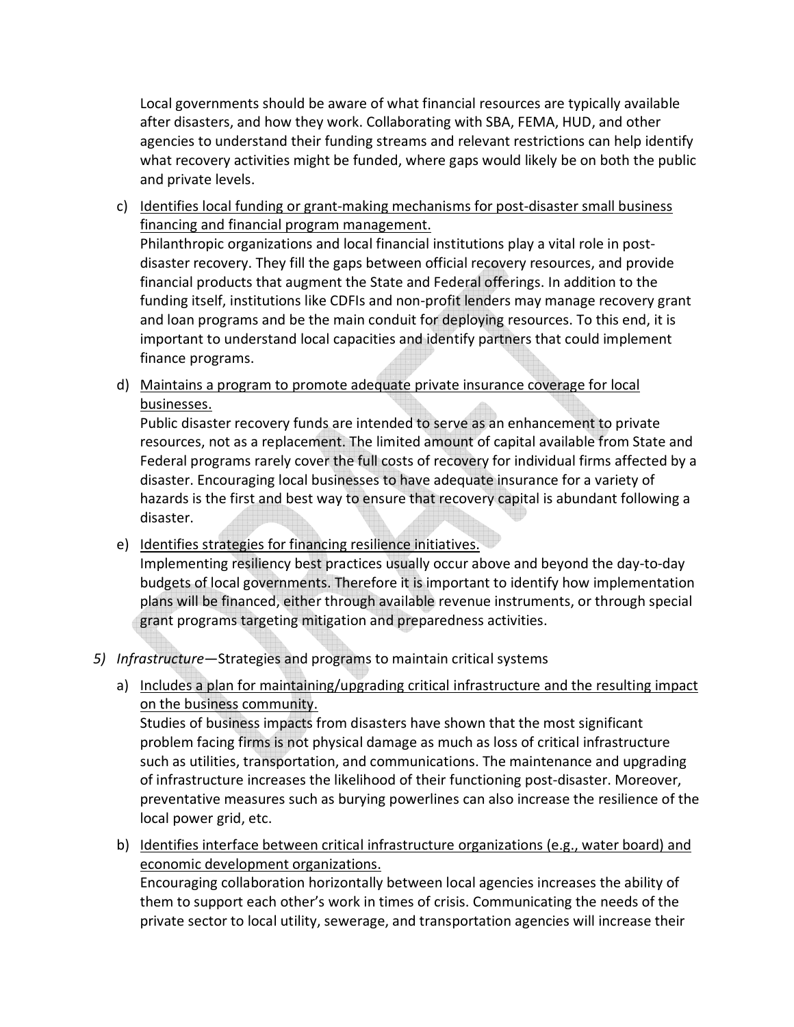Local governments should be aware of what financial resources are typically available after disasters, and how they work. Collaborating with SBA, FEMA, HUD, and other agencies to understand their funding streams and relevant restrictions can help identify what recovery activities might be funded, where gaps would likely be on both the public and private levels.

c) Identifies local funding or grant-making mechanisms for post-disaster small business financing and financial program management. Philanthropic organizations and local financial institutions play a vital role in postdisaster recovery. They fill the gaps between official recovery resources, and provide financial products that augment the State and Federal offerings. In addition to the funding itself, institutions like CDFIs and non-profit lenders may manage recovery grant

and loan programs and be the main conduit for deploying resources. To this end, it is important to understand local capacities and identify partners that could implement finance programs.

d) Maintains a program to promote adequate private insurance coverage for local businesses.

Public disaster recovery funds are intended to serve as an enhancement to private resources, not as a replacement. The limited amount of capital available from State and Federal programs rarely cover the full costs of recovery for individual firms affected by a disaster. Encouraging local businesses to have adequate insurance for a variety of hazards is the first and best way to ensure that recovery capital is abundant following a disaster.

e) Identifies strategies for financing resilience initiatives.

Implementing resiliency best practices usually occur above and beyond the day-to-day budgets of local governments. Therefore it is important to identify how implementation plans will be financed, either through available revenue instruments, or through special grant programs targeting mitigation and preparedness activities.

- *5) Infrastructure*—Strategies and programs to maintain critical systems
	- a) Includes a plan for maintaining/upgrading critical infrastructure and the resulting impact on the business community.

Studies of business impacts from disasters have shown that the most significant problem facing firms is not physical damage as much as loss of critical infrastructure such as utilities, transportation, and communications. The maintenance and upgrading of infrastructure increases the likelihood of their functioning post-disaster. Moreover, preventative measures such as burying powerlines can also increase the resilience of the local power grid, etc.

b) Identifies interface between critical infrastructure organizations (e.g., water board) and economic development organizations.

Encouraging collaboration horizontally between local agencies increases the ability of them to support each other's work in times of crisis. Communicating the needs of the private sector to local utility, sewerage, and transportation agencies will increase their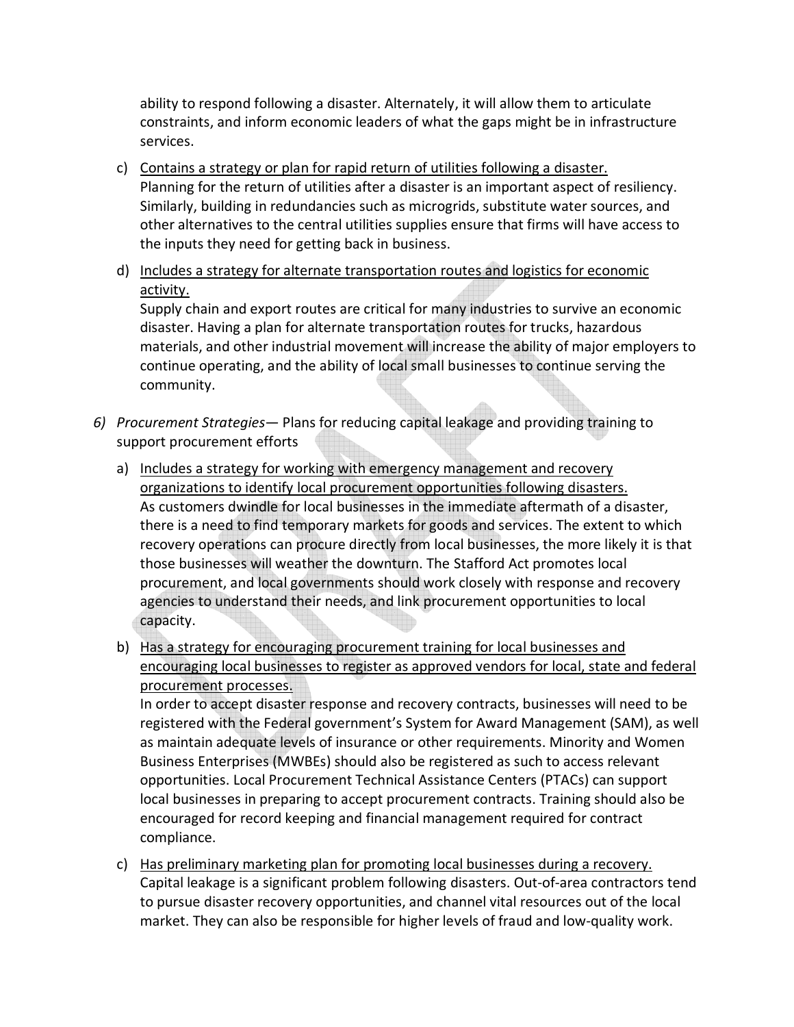ability to respond following a disaster. Alternately, it will allow them to articulate constraints, and inform economic leaders of what the gaps might be in infrastructure services.

- c) Contains a strategy or plan for rapid return of utilities following a disaster. Planning for the return of utilities after a disaster is an important aspect of resiliency. Similarly, building in redundancies such as microgrids, substitute water sources, and other alternatives to the central utilities supplies ensure that firms will have access to the inputs they need for getting back in business.
- d) Includes a strategy for alternate transportation routes and logistics for economic activity.

Supply chain and export routes are critical for many industries to survive an economic disaster. Having a plan for alternate transportation routes for trucks, hazardous materials, and other industrial movement will increase the ability of major employers to continue operating, and the ability of local small businesses to continue serving the community.

- *6) Procurement Strategies* Plans for reducing capital leakage and providing training to support procurement efforts
	- a) Includes a strategy for working with emergency management and recovery organizations to identify local procurement opportunities following disasters. As customers dwindle for local businesses in the immediate aftermath of a disaster, there is a need to find temporary markets for goods and services. The extent to which recovery operations can procure directly from local businesses, the more likely it is that those businesses will weather the downturn. The Stafford Act promotes local procurement, and local governments should work closely with response and recovery agencies to understand their needs, and link procurement opportunities to local capacity.
	- b) Has a strategy for encouraging procurement training for local businesses and encouraging local businesses to register as approved vendors for local, state and federal procurement processes.

In order to accept disaster response and recovery contracts, businesses will need to be registered with the Federal government's System for Award Management (SAM), as well as maintain adequate levels of insurance or other requirements. Minority and Women Business Enterprises (MWBEs) should also be registered as such to access relevant opportunities. Local Procurement Technical Assistance Centers (PTACs) can support local businesses in preparing to accept procurement contracts. Training should also be encouraged for record keeping and financial management required for contract compliance.

c) Has preliminary marketing plan for promoting local businesses during a recovery. Capital leakage is a significant problem following disasters. Out-of-area contractors tend to pursue disaster recovery opportunities, and channel vital resources out of the local market. They can also be responsible for higher levels of fraud and low-quality work.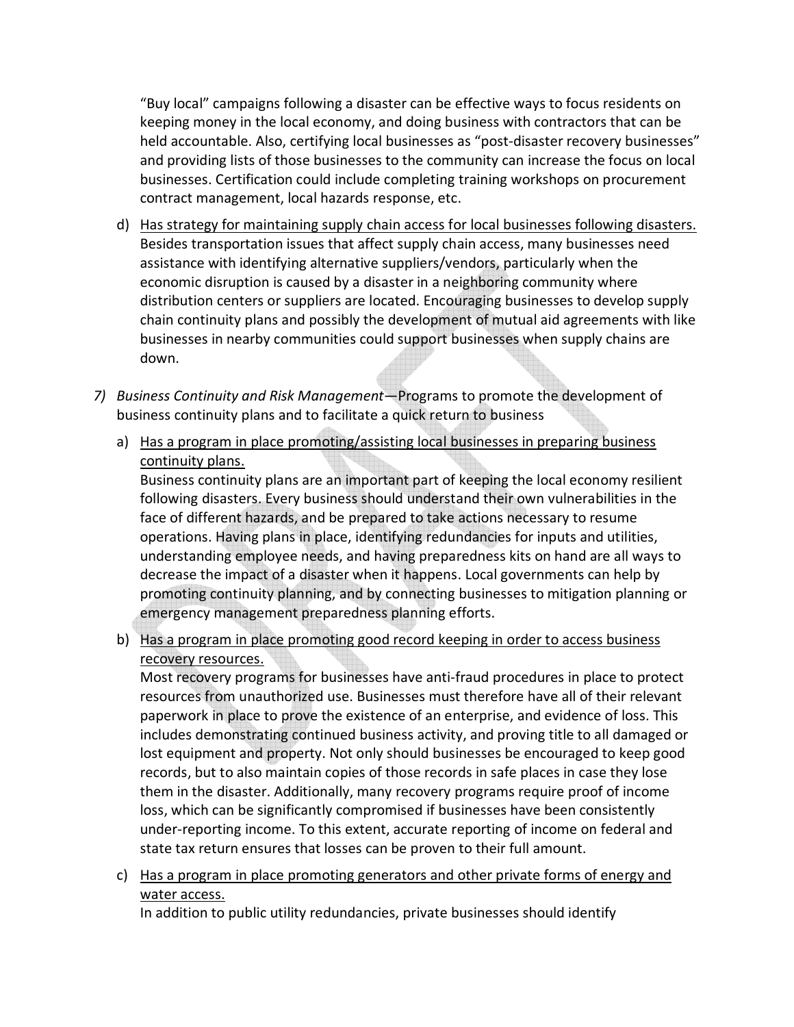"Buy local" campaigns following a disaster can be effective ways to focus residents on keeping money in the local economy, and doing business with contractors that can be held accountable. Also, certifying local businesses as "post-disaster recovery businesses" and providing lists of those businesses to the community can increase the focus on local businesses. Certification could include completing training workshops on procurement contract management, local hazards response, etc.

- d) Has strategy for maintaining supply chain access for local businesses following disasters. Besides transportation issues that affect supply chain access, many businesses need assistance with identifying alternative suppliers/vendors, particularly when the economic disruption is caused by a disaster in a neighboring community where distribution centers or suppliers are located. Encouraging businesses to develop supply chain continuity plans and possibly the development of mutual aid agreements with like businesses in nearby communities could support businesses when supply chains are down.
- *7) Business Continuity and Risk Management*—Programs to promote the development of business continuity plans and to facilitate a quick return to business
	- a) Has a program in place promoting/assisting local businesses in preparing business continuity plans.

Business continuity plans are an important part of keeping the local economy resilient following disasters. Every business should understand their own vulnerabilities in the face of different hazards, and be prepared to take actions necessary to resume operations. Having plans in place, identifying redundancies for inputs and utilities, understanding employee needs, and having preparedness kits on hand are all ways to decrease the impact of a disaster when it happens. Local governments can help by promoting continuity planning, and by connecting businesses to mitigation planning or emergency management preparedness planning efforts.

b) Has a program in place promoting good record keeping in order to access business recovery resources.

Most recovery programs for businesses have anti-fraud procedures in place to protect resources from unauthorized use. Businesses must therefore have all of their relevant paperwork in place to prove the existence of an enterprise, and evidence of loss. This includes demonstrating continued business activity, and proving title to all damaged or lost equipment and property. Not only should businesses be encouraged to keep good records, but to also maintain copies of those records in safe places in case they lose them in the disaster. Additionally, many recovery programs require proof of income loss, which can be significantly compromised if businesses have been consistently under-reporting income. To this extent, accurate reporting of income on federal and state tax return ensures that losses can be proven to their full amount.

c) Has a program in place promoting generators and other private forms of energy and water access.

In addition to public utility redundancies, private businesses should identify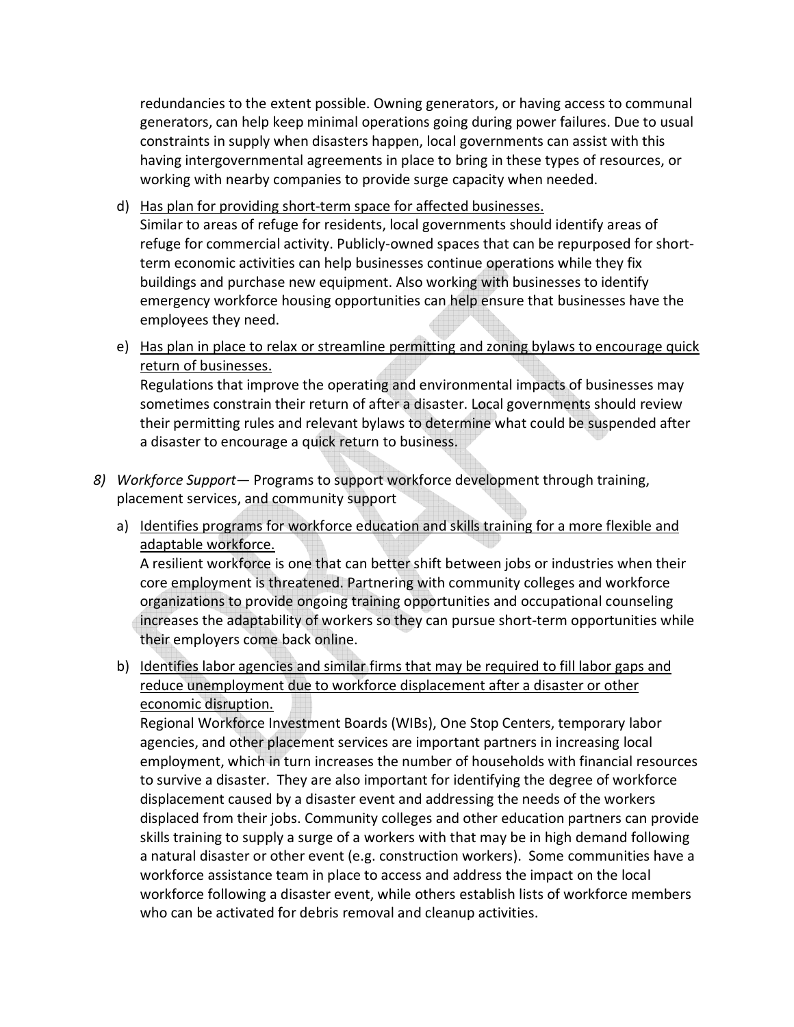redundancies to the extent possible. Owning generators, or having access to communal generators, can help keep minimal operations going during power failures. Due to usual constraints in supply when disasters happen, local governments can assist with this having intergovernmental agreements in place to bring in these types of resources, or working with nearby companies to provide surge capacity when needed.

- d) Has plan for providing short-term space for affected businesses. Similar to areas of refuge for residents, local governments should identify areas of refuge for commercial activity. Publicly-owned spaces that can be repurposed for shortterm economic activities can help businesses continue operations while they fix buildings and purchase new equipment. Also working with businesses to identify emergency workforce housing opportunities can help ensure that businesses have the employees they need.
- e) Has plan in place to relax or streamline permitting and zoning bylaws to encourage quick return of businesses.

Regulations that improve the operating and environmental impacts of businesses may sometimes constrain their return of after a disaster. Local governments should review their permitting rules and relevant bylaws to determine what could be suspended after a disaster to encourage a quick return to business.

- *8) Workforce Support* Programs to support workforce development through training, placement services, and community support
	- a) Identifies programs for workforce education and skills training for a more flexible and adaptable workforce.

A resilient workforce is one that can better shift between jobs or industries when their core employment is threatened. Partnering with community colleges and workforce organizations to provide ongoing training opportunities and occupational counseling increases the adaptability of workers so they can pursue short-term opportunities while their employers come back online.

b) Identifies labor agencies and similar firms that may be required to fill labor gaps and reduce unemployment due to workforce displacement after a disaster or other economic disruption.

Regional Workforce Investment Boards (WIBs), One Stop Centers, temporary labor agencies, and other placement services are important partners in increasing local employment, which in turn increases the number of households with financial resources to survive a disaster. They are also important for identifying the degree of workforce displacement caused by a disaster event and addressing the needs of the workers displaced from their jobs. Community colleges and other education partners can provide skills training to supply a surge of a workers with that may be in high demand following a natural disaster or other event (e.g. construction workers). Some communities have a workforce assistance team in place to access and address the impact on the local workforce following a disaster event, while others establish lists of workforce members who can be activated for debris removal and cleanup activities.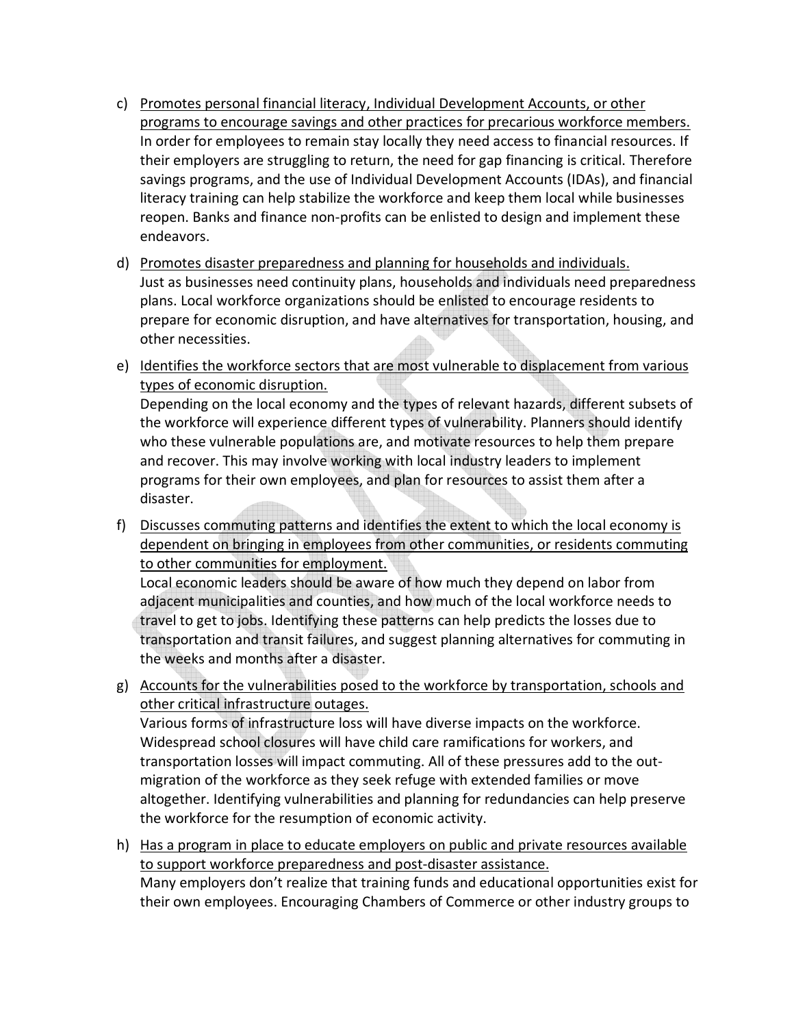- c) Promotes personal financial literacy, Individual Development Accounts, or other programs to encourage savings and other practices for precarious workforce members. In order for employees to remain stay locally they need access to financial resources. If their employers are struggling to return, the need for gap financing is critical. Therefore savings programs, and the use of Individual Development Accounts (IDAs), and financial literacy training can help stabilize the workforce and keep them local while businesses reopen. Banks and finance non-profits can be enlisted to design and implement these endeavors.
- d) Promotes disaster preparedness and planning for households and individuals. Just as businesses need continuity plans, households and individuals need preparedness plans. Local workforce organizations should be enlisted to encourage residents to prepare for economic disruption, and have alternatives for transportation, housing, and other necessities.
- e) Identifies the workforce sectors that are most vulnerable to displacement from various types of economic disruption.

Depending on the local economy and the types of relevant hazards, different subsets of the workforce will experience different types of vulnerability. Planners should identify who these vulnerable populations are, and motivate resources to help them prepare and recover. This may involve working with local industry leaders to implement programs for their own employees, and plan for resources to assist them after a disaster.

f) Discusses commuting patterns and identifies the extent to which the local economy is dependent on bringing in employees from other communities, or residents commuting to other communities for employment.

Local economic leaders should be aware of how much they depend on labor from adjacent municipalities and counties, and how much of the local workforce needs to travel to get to jobs. Identifying these patterns can help predicts the losses due to transportation and transit failures, and suggest planning alternatives for commuting in the weeks and months after a disaster.

g) Accounts for the vulnerabilities posed to the workforce by transportation, schools and other critical infrastructure outages.

Various forms of infrastructure loss will have diverse impacts on the workforce. Widespread school closures will have child care ramifications for workers, and transportation losses will impact commuting. All of these pressures add to the outmigration of the workforce as they seek refuge with extended families or move altogether. Identifying vulnerabilities and planning for redundancies can help preserve the workforce for the resumption of economic activity.

h) Has a program in place to educate employers on public and private resources available to support workforce preparedness and post-disaster assistance. Many employers don't realize that training funds and educational opportunities exist for their own employees. Encouraging Chambers of Commerce or other industry groups to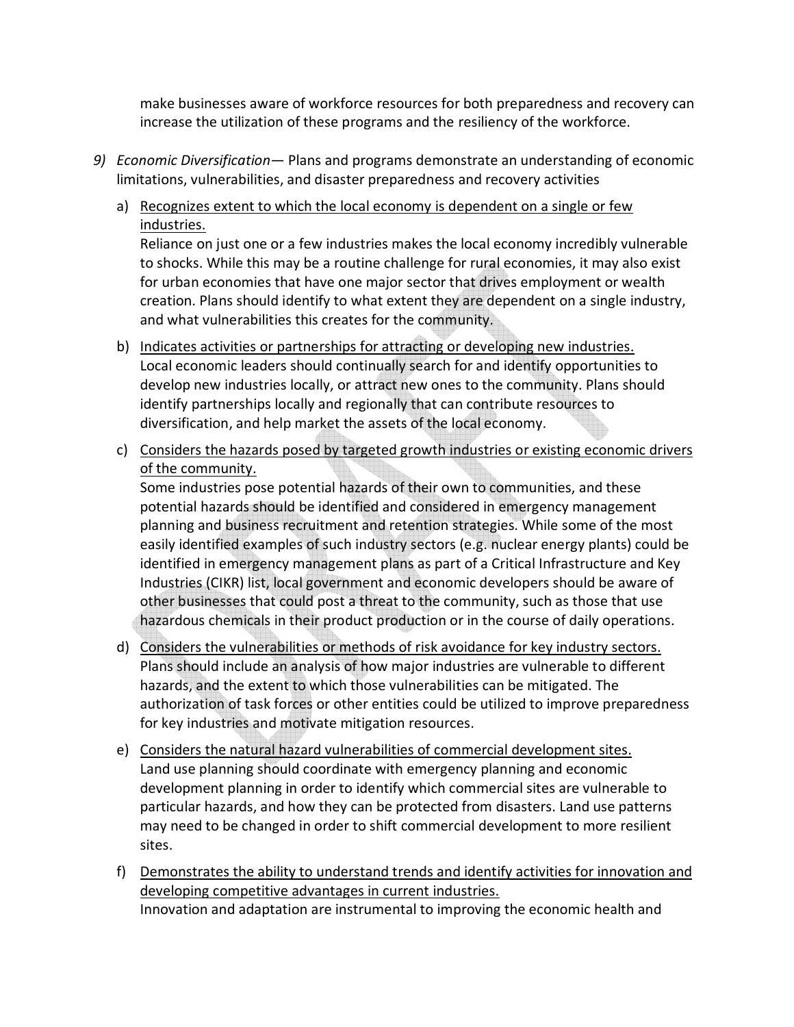make businesses aware of workforce resources for both preparedness and recovery can increase the utilization of these programs and the resiliency of the workforce.

- *9) Economic Diversification* Plans and programs demonstrate an understanding of economic limitations, vulnerabilities, and disaster preparedness and recovery activities
	- a) Recognizes extent to which the local economy is dependent on a single or few industries.

Reliance on just one or a few industries makes the local economy incredibly vulnerable to shocks. While this may be a routine challenge for rural economies, it may also exist for urban economies that have one major sector that drives employment or wealth creation. Plans should identify to what extent they are dependent on a single industry, and what vulnerabilities this creates for the community.

- b) Indicates activities or partnerships for attracting or developing new industries. Local economic leaders should continually search for and identify opportunities to develop new industries locally, or attract new ones to the community. Plans should identify partnerships locally and regionally that can contribute resources to diversification, and help market the assets of the local economy.
- c) Considers the hazards posed by targeted growth industries or existing economic drivers of the community.

Some industries pose potential hazards of their own to communities, and these potential hazards should be identified and considered in emergency management planning and business recruitment and retention strategies. While some of the most easily identified examples of such industry sectors (e.g. nuclear energy plants) could be identified in emergency management plans as part of a Critical Infrastructure and Key Industries (CIKR) list, local government and economic developers should be aware of other businesses that could post a threat to the community, such as those that use hazardous chemicals in their product production or in the course of daily operations.

- d) Considers the vulnerabilities or methods of risk avoidance for key industry sectors. Plans should include an analysis of how major industries are vulnerable to different hazards, and the extent to which those vulnerabilities can be mitigated. The authorization of task forces or other entities could be utilized to improve preparedness for key industries and motivate mitigation resources.
- e) Considers the natural hazard vulnerabilities of commercial development sites. Land use planning should coordinate with emergency planning and economic development planning in order to identify which commercial sites are vulnerable to particular hazards, and how they can be protected from disasters. Land use patterns may need to be changed in order to shift commercial development to more resilient sites.
- f) Demonstrates the ability to understand trends and identify activities for innovation and developing competitive advantages in current industries. Innovation and adaptation are instrumental to improving the economic health and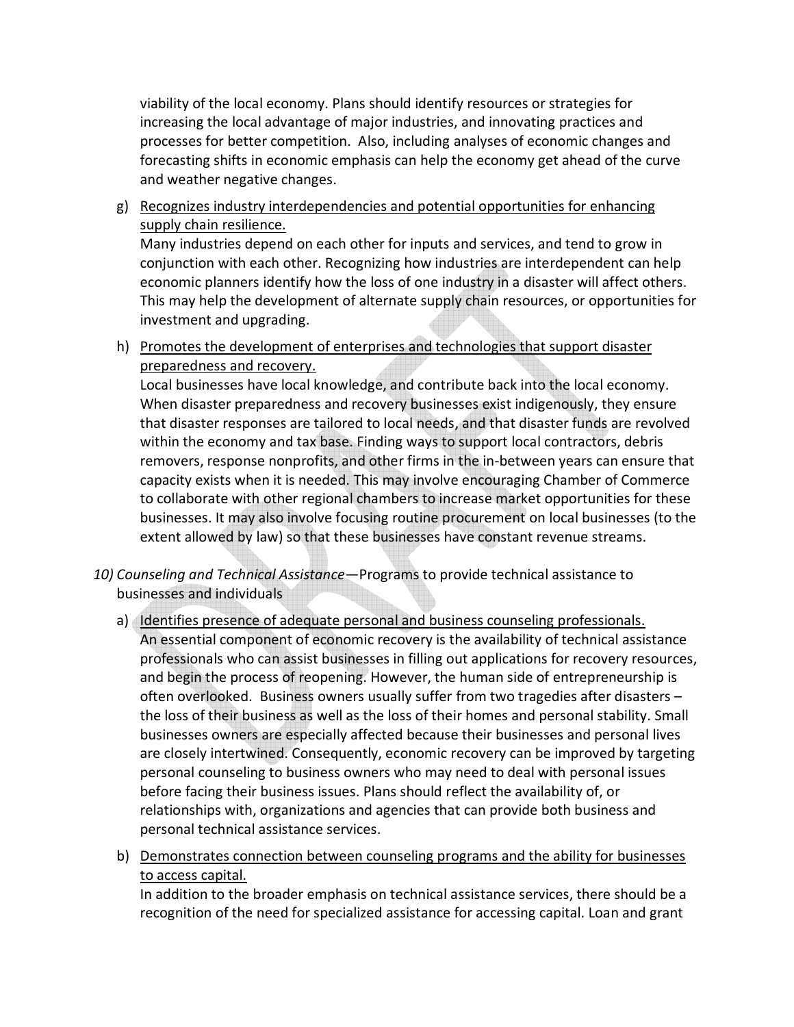viability of the local economy. Plans should identify resources or strategies for increasing the local advantage of major industries, and innovating practices and processes for better competition. Also, including analyses of economic changes and forecasting shifts in economic emphasis can help the economy get ahead of the curve and weather negative changes.

g) Recognizes industry interdependencies and potential opportunities for enhancing supply chain resilience.

Many industries depend on each other for inputs and services, and tend to grow in conjunction with each other. Recognizing how industries are interdependent can help economic planners identify how the loss of one industry in a disaster will affect others. This may help the development of alternate supply chain resources, or opportunities for investment and upgrading.

h) Promotes the development of enterprises and technologies that support disaster preparedness and recovery.

Local businesses have local knowledge, and contribute back into the local economy. When disaster preparedness and recovery businesses exist indigenously, they ensure that disaster responses are tailored to local needs, and that disaster funds are revolved within the economy and tax base. Finding ways to support local contractors, debris removers, response nonprofits, and other firms in the in-between years can ensure that capacity exists when it is needed. This may involve encouraging Chamber of Commerce to collaborate with other regional chambers to increase market opportunities for these businesses. It may also involve focusing routine procurement on local businesses (to the extent allowed by law) so that these businesses have constant revenue streams.

- *10) Counseling and Technical Assistance*—Programs to provide technical assistance to businesses and individuals
	- a) Identifies presence of adequate personal and business counseling professionals. An essential component of economic recovery is the availability of technical assistance professionals who can assist businesses in filling out applications for recovery resources, and begin the process of reopening. However, the human side of entrepreneurship is often overlooked. Business owners usually suffer from two tragedies after disasters – the loss of their business as well as the loss of their homes and personal stability. Small businesses owners are especially affected because their businesses and personal lives are closely intertwined. Consequently, economic recovery can be improved by targeting personal counseling to business owners who may need to deal with personal issues before facing their business issues. Plans should reflect the availability of, or relationships with, organizations and agencies that can provide both business and personal technical assistance services.
	- b) Demonstrates connection between counseling programs and the ability for businesses to access capital.

In addition to the broader emphasis on technical assistance services, there should be a recognition of the need for specialized assistance for accessing capital. Loan and grant